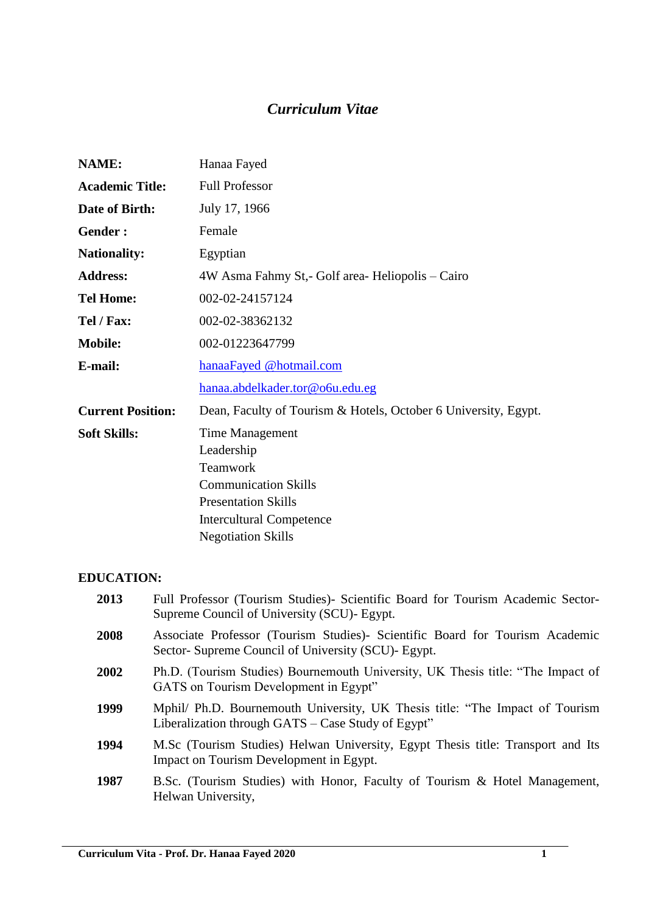# *Curriculum Vitae*

| NAME:                    | Hanaa Fayed                                                     |  |
|--------------------------|-----------------------------------------------------------------|--|
| <b>Academic Title:</b>   | <b>Full Professor</b>                                           |  |
| Date of Birth:           | July 17, 1966                                                   |  |
| Gender:                  | Female                                                          |  |
| <b>Nationality:</b>      | Egyptian                                                        |  |
| <b>Address:</b>          | 4W Asma Fahmy St, - Golf area - Heliopolis – Cairo              |  |
| <b>Tel Home:</b>         | 002-02-24157124                                                 |  |
| Tel / Fax:               | 002-02-38362132                                                 |  |
| <b>Mobile:</b>           | 002-01223647799                                                 |  |
| E-mail:                  | hanaaFayed @hotmail.com                                         |  |
|                          | hanaa.abdelkader.tor@o6u.edu.eg                                 |  |
| <b>Current Position:</b> | Dean, Faculty of Tourism & Hotels, October 6 University, Egypt. |  |
| <b>Soft Skills:</b>      | Time Management                                                 |  |
|                          | Leadership                                                      |  |
|                          | Teamwork                                                        |  |
|                          | <b>Communication Skills</b>                                     |  |
|                          | <b>Presentation Skills</b>                                      |  |
|                          | <b>Intercultural Competence</b>                                 |  |
|                          | <b>Negotiation Skills</b>                                       |  |

## **EDUCATION:**

| 2013 | Full Professor (Tourism Studies)- Scientific Board for Tourism Academic Sector-<br>Supreme Council of University (SCU) - Egypt.     |
|------|-------------------------------------------------------------------------------------------------------------------------------------|
| 2008 | Associate Professor (Tourism Studies) - Scientific Board for Tourism Academic<br>Sector-Supreme Council of University (SCU)- Egypt. |
| 2002 | Ph.D. (Tourism Studies) Bournemouth University, UK Thesis title: "The Impact of<br>GATS on Tourism Development in Egypt"            |
| 1999 | Mphil/ Ph.D. Bournemouth University, UK Thesis title: "The Impact of Tourism"<br>Liberalization through GATS – Case Study of Egypt" |
| 1994 | M.Sc (Tourism Studies) Helwan University, Egypt Thesis title: Transport and Its<br>Impact on Tourism Development in Egypt.          |
| 1987 | B.Sc. (Tourism Studies) with Honor, Faculty of Tourism & Hotel Management,<br>Helwan University,                                    |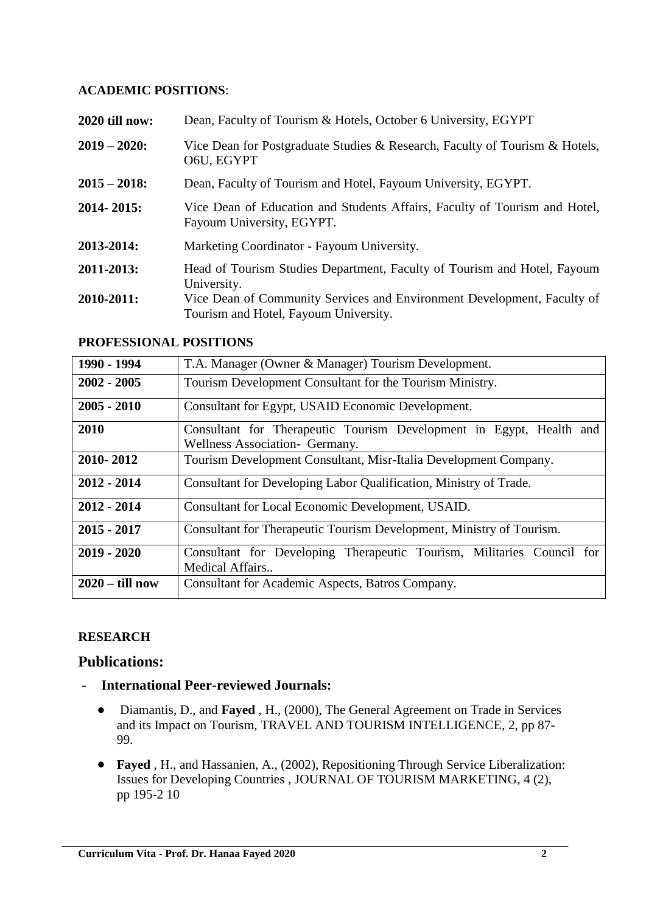#### **ACADEMIC POSITIONS**:

| 2020 till now:  | Dean, Faculty of Tourism & Hotels, October 6 University, EGYPT                                                   |
|-----------------|------------------------------------------------------------------------------------------------------------------|
| $2019 - 2020$ : | Vice Dean for Postgraduate Studies & Research, Faculty of Tourism & Hotels,<br>O6U, EGYPT                        |
| $2015 - 2018$ : | Dean, Faculty of Tourism and Hotel, Fayoum University, EGYPT.                                                    |
| $2014 - 2015$ : | Vice Dean of Education and Students Affairs, Faculty of Tourism and Hotel,<br>Fayoum University, EGYPT.          |
| 2013-2014:      | Marketing Coordinator - Fayoum University.                                                                       |
| 2011-2013:      | Head of Tourism Studies Department, Faculty of Tourism and Hotel, Fayoum<br>University.                          |
| 2010-2011:      | Vice Dean of Community Services and Environment Development, Faculty of<br>Tourism and Hotel, Fayoum University. |

#### **PROFESSIONAL POSITIONS**

| 1990 - 1994       | T.A. Manager (Owner & Manager) Tourism Development.                                                   |
|-------------------|-------------------------------------------------------------------------------------------------------|
| $2002 - 2005$     | Tourism Development Consultant for the Tourism Ministry.                                              |
| $2005 - 2010$     | Consultant for Egypt, USAID Economic Development.                                                     |
| 2010              | Consultant for Therapeutic Tourism Development in Egypt, Health and<br>Wellness Association- Germany. |
| 2010-2012         | Tourism Development Consultant, Misr-Italia Development Company.                                      |
| $2012 - 2014$     | Consultant for Developing Labor Qualification, Ministry of Trade.                                     |
| $2012 - 2014$     | Consultant for Local Economic Development, USAID.                                                     |
| $2015 - 2017$     | Consultant for Therapeutic Tourism Development, Ministry of Tourism.                                  |
| $2019 - 2020$     | Consultant for Developing Therapeutic Tourism, Militaries Council for<br>Medical Affairs              |
| $2020 -$ till now | Consultant for Academic Aspects, Batros Company.                                                      |

#### **RESEARCH**

#### **Publications:**

- **International Peer-reviewed Journals:**
	- Diamantis, D., and **Fayed** , H., (2000), The General Agreement on Trade in Services and its Impact on Tourism, TRAVEL AND TOURISM INTELLIGENCE, 2, pp 87- 99.
	- **Fayed** , H., and Hassanien, A., (2002), Repositioning Through Service Liberalization: Issues for Developing Countries , JOURNAL OF TOURISM MARKETING, 4 (2), pp 195-2 10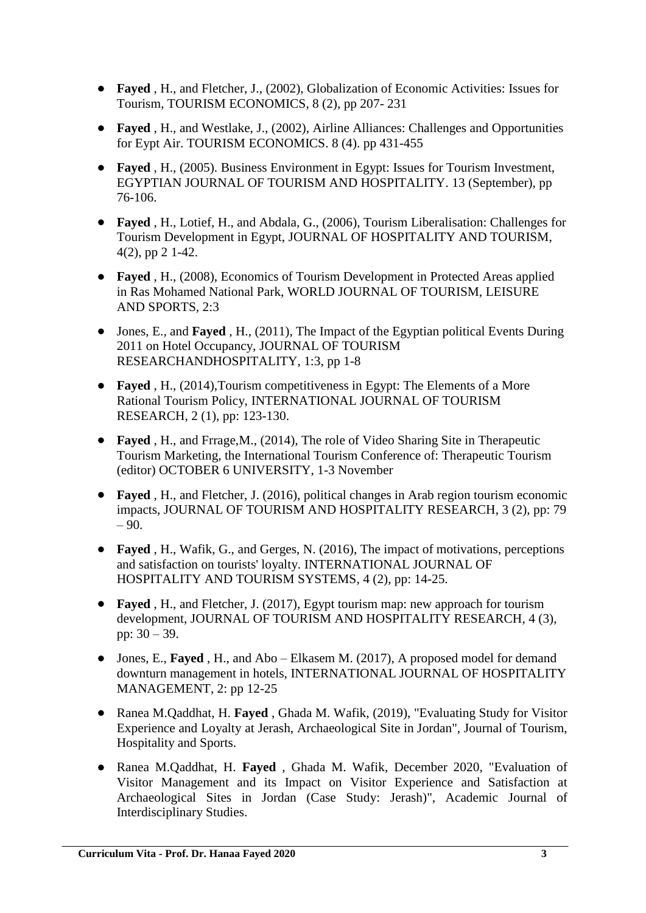- **Fayed** , H., and Fletcher, J., (2002), Globalization of Economic Activities: Issues for Tourism, TOURISM ECONOMICS, 8 (2), pp 207- 231
- **Fayed** , H., and Westlake, J., (2002), Airline Alliances: Challenges and Opportunities for Eypt Air. TOURISM ECONOMICS. 8 (4). pp 431-455
- **Fayed** , H., (2005). Business Environment in Egypt: Issues for Tourism Investment, EGYPTIAN JOURNAL OF TOURISM AND HOSPITALITY. 13 (September), pp 76-106.
- **Fayed** , H., Lotief, H., and Abdala, G., (2006), Tourism Liberalisation: Challenges for Tourism Development in Egypt, JOURNAL OF HOSPITALITY AND TOURISM, 4(2), pp 2 1-42.
- **Fayed** , H., (2008), Economics of Tourism Development in Protected Areas applied in Ras Mohamed National Park, WORLD JOURNAL OF TOURISM, LEISURE AND SPORTS, 2:3
- Jones, E., and **Fayed** , H., (2011), The Impact of the Egyptian political Events During 2011 on Hotel Occupancy, JOURNAL OF TOURISM RESEARCHANDHOSPITALITY, 1:3, pp 1-8
- **Fayed** , H., (2014),Tourism competitiveness in Egypt: The Elements of a More Rational Tourism Policy, INTERNATIONAL JOURNAL OF TOURISM RESEARCH, 2 (1), pp: 123-130.
- **Fayed** , H., and Frrage,M., (2014), The role of Video Sharing Site in Therapeutic Tourism Marketing, the International Tourism Conference of: Therapeutic Tourism (editor) OCTOBER 6 UNIVERSITY, 1-3 November
- **Fayed** , H., and Fletcher, J. (2016), political changes in Arab region tourism economic impacts, JOURNAL OF TOURISM AND HOSPITALITY RESEARCH, 3 (2), pp: 79  $-90.$
- **Fayed** , H., Wafik, G., and Gerges, N. (2016), The impact of motivations, perceptions and satisfaction on tourists' loyalty. INTERNATIONAL JOURNAL OF HOSPITALITY AND TOURISM SYSTEMS, 4 (2), pp: 14-25.
- **Fayed** , H., and Fletcher, J. (2017), Egypt tourism map: new approach for tourism development, JOURNAL OF TOURISM AND HOSPITALITY RESEARCH, 4 (3), pp: 30 – 39.
- Jones, E., **Fayed** , H., and Abo Elkasem M. (2017), A proposed model for demand downturn management in hotels, INTERNATIONAL JOURNAL OF HOSPITALITY MANAGEMENT, 2: pp 12-25
- Ranea M.Qaddhat, H. **Fayed** , Ghada M. Wafik, (2019), "Evaluating Study for Visitor Experience and Loyalty at Jerash, Archaeological Site in Jordan", Journal of Tourism, Hospitality and Sports.
- Ranea M.Qaddhat, H. **Fayed** , Ghada M. Wafik, December 2020, "Evaluation of Visitor Management and its Impact on Visitor Experience and Satisfaction at Archaeological Sites in Jordan (Case Study: Jerash)", Academic Journal of Interdisciplinary Studies.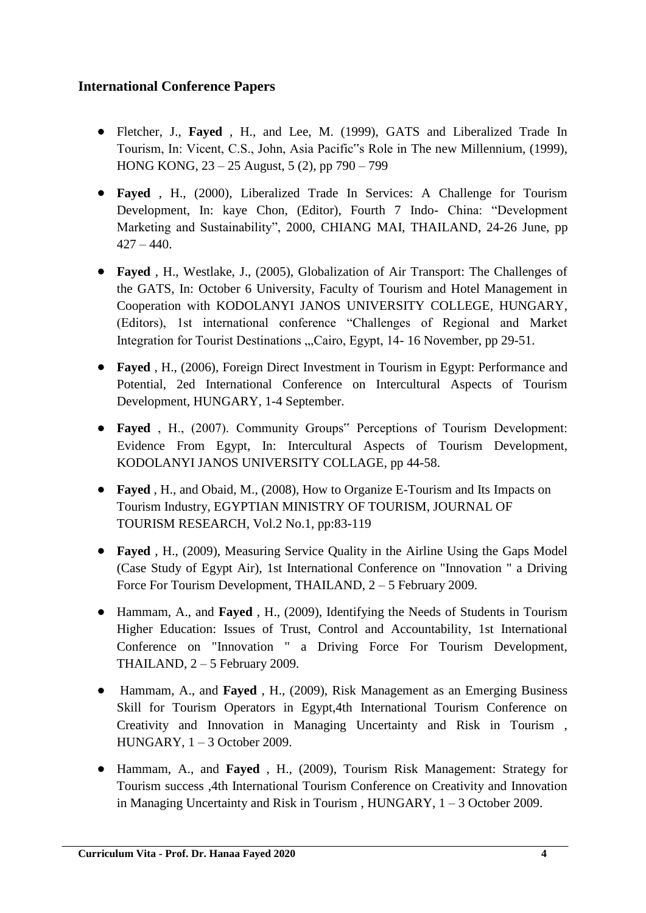# **International Conference Papers**

- Fletcher, J., **Fayed** , H., and Lee, M. (1999), GATS and Liberalized Trade In Tourism, In: Vicent, C.S., John, Asia Pacific"s Role in The new Millennium, (1999), HONG KONG, 23 – 25 August, 5 (2), pp 790 – 799
- **Fayed** , H., (2000), Liberalized Trade In Services: A Challenge for Tourism Development, In: kaye Chon, (Editor), Fourth 7 Indo- China: "Development Marketing and Sustainability", 2000, CHIANG MAI, THAILAND, 24-26 June, pp  $427 - 440.$
- **Fayed** , H., Westlake, J., (2005), Globalization of Air Transport: The Challenges of the GATS, In: October 6 University, Faculty of Tourism and Hotel Management in Cooperation with KODOLANYI JANOS UNIVERSITY COLLEGE, HUNGARY, (Editors), 1st international conference "Challenges of Regional and Market Integration for Tourist Destinations ...Cairo, Egypt, 14-16 November, pp 29-51.
- **Fayed** , H., (2006), Foreign Direct Investment in Tourism in Egypt: Performance and Potential, 2ed International Conference on Intercultural Aspects of Tourism Development, HUNGARY, 1-4 September.
- **Fayed** , H., (2007). Community Groups" Perceptions of Tourism Development: Evidence From Egypt, In: Intercultural Aspects of Tourism Development, KODOLANYI JANOS UNIVERSITY COLLAGE, pp 44-58.
- **Fayed** , H., and Obaid, M., (2008), How to Organize E-Tourism and Its Impacts on Tourism Industry, EGYPTIAN MINISTRY OF TOURISM, JOURNAL OF TOURISM RESEARCH, Vol.2 No.1, pp:83-119
- **Fayed** , H., (2009), Measuring Service Quality in the Airline Using the Gaps Model (Case Study of Egypt Air), 1st International Conference on "Innovation " a Driving Force For Tourism Development, THAILAND, 2 – 5 February 2009.
- Hammam, A., and **Fayed** , H., (2009), Identifying the Needs of Students in Tourism Higher Education: Issues of Trust, Control and Accountability, 1st International Conference on "Innovation " a Driving Force For Tourism Development, THAILAND,  $2 - 5$  February 2009.
- Hammam, A., and **Fayed** , H., (2009), Risk Management as an Emerging Business Skill for Tourism Operators in Egypt,4th International Tourism Conference on Creativity and Innovation in Managing Uncertainty and Risk in Tourism , HUNGARY, 1 – 3 October 2009.
- Hammam, A., and **Fayed** , H., (2009), Tourism Risk Management: Strategy for Tourism success ,4th International Tourism Conference on Creativity and Innovation in Managing Uncertainty and Risk in Tourism , HUNGARY, 1 – 3 October 2009.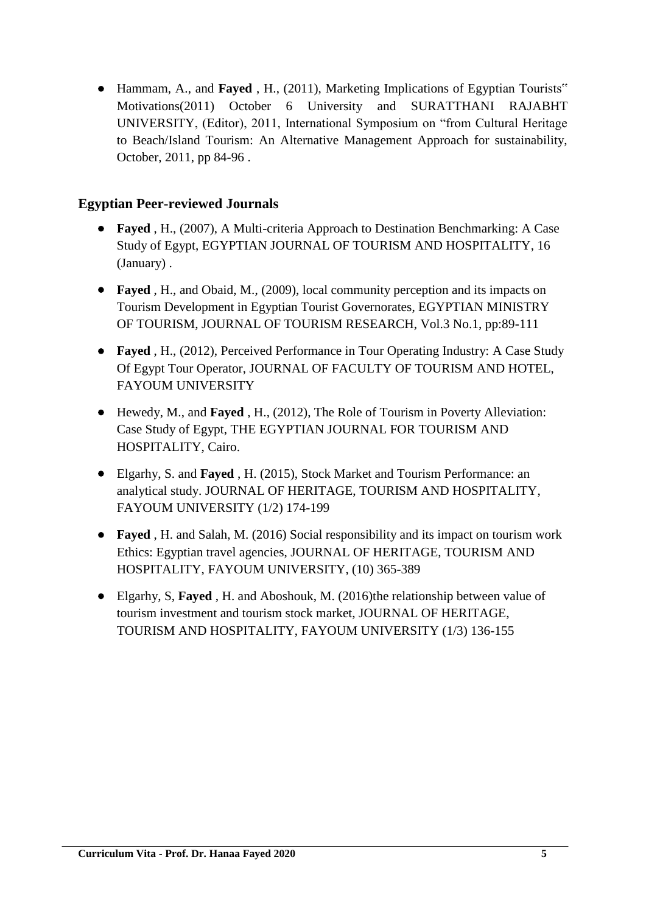Hammam, A., and **Fayed** , H., (2011), Marketing Implications of Egyptian Tourists" Motivations(2011) October 6 University and SURATTHANI RAJABHT UNIVERSITY, (Editor), 2011, International Symposium on "from Cultural Heritage to Beach/Island Tourism: An Alternative Management Approach for sustainability, October, 2011, pp 84-96 .

## **Egyptian Peer-reviewed Journals**

- **Fayed** , H., (2007), A Multi-criteria Approach to Destination Benchmarking: A Case Study of Egypt, EGYPTIAN JOURNAL OF TOURISM AND HOSPITALITY, 16 (January) .
- **Fayed** , H., and Obaid, M., (2009), local community perception and its impacts on Tourism Development in Egyptian Tourist Governorates, EGYPTIAN MINISTRY OF TOURISM, JOURNAL OF TOURISM RESEARCH, Vol.3 No.1, pp:89-111
- **Fayed** , H., (2012), Perceived Performance in Tour Operating Industry: A Case Study Of Egypt Tour Operator, JOURNAL OF FACULTY OF TOURISM AND HOTEL, FAYOUM UNIVERSITY
- Hewedy, M., and **Fayed** , H., (2012), The Role of Tourism in Poverty Alleviation: Case Study of Egypt, THE EGYPTIAN JOURNAL FOR TOURISM AND HOSPITALITY, Cairo.
- Elgarhy, S. and **Fayed** , H. (2015), Stock Market and Tourism Performance: an analytical study. JOURNAL OF HERITAGE, TOURISM AND HOSPITALITY, FAYOUM UNIVERSITY (1/2) 174-199
- **Fayed** , H. and Salah, M. (2016) Social responsibility and its impact on tourism work Ethics: Egyptian travel agencies, JOURNAL OF HERITAGE, TOURISM AND HOSPITALITY, FAYOUM UNIVERSITY, (10) 365-389
- Elgarhy, S, **Fayed** , H. and Aboshouk, M. (2016)the relationship between value of tourism investment and tourism stock market, JOURNAL OF HERITAGE, TOURISM AND HOSPITALITY, FAYOUM UNIVERSITY (1/3) 136-155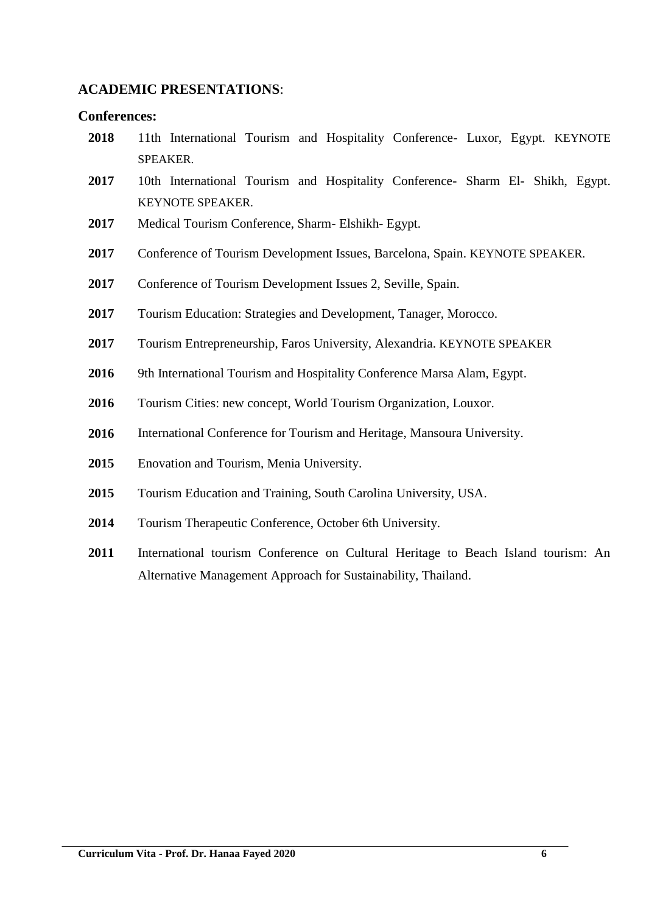#### **ACADEMIC PRESENTATIONS**:

#### **Conferences:**

- 11th International Tourism and Hospitality Conference- Luxor, Egypt. KEYNOTE SPEAKER.
- 10th International Tourism and Hospitality Conference- Sharm El- Shikh, Egypt. KEYNOTE SPEAKER.
- Medical Tourism Conference, Sharm- Elshikh- Egypt.
- Conference of Tourism Development Issues, Barcelona, Spain. KEYNOTE SPEAKER.
- Conference of Tourism Development Issues 2, Seville, Spain.
- Tourism Education: Strategies and Development, Tanager, Morocco.
- Tourism Entrepreneurship, Faros University, Alexandria. KEYNOTE SPEAKER
- 2016 9th International Tourism and Hospitality Conference Marsa Alam, Egypt.
- Tourism Cities: new concept, World Tourism Organization, Louxor.
- International Conference for Tourism and Heritage, Mansoura University.
- Enovation and Tourism, Menia University.
- Tourism Education and Training, South Carolina University, USA.
- Tourism Therapeutic Conference, October 6th University.
- International tourism Conference on Cultural Heritage to Beach Island tourism: An Alternative Management Approach for Sustainability, Thailand.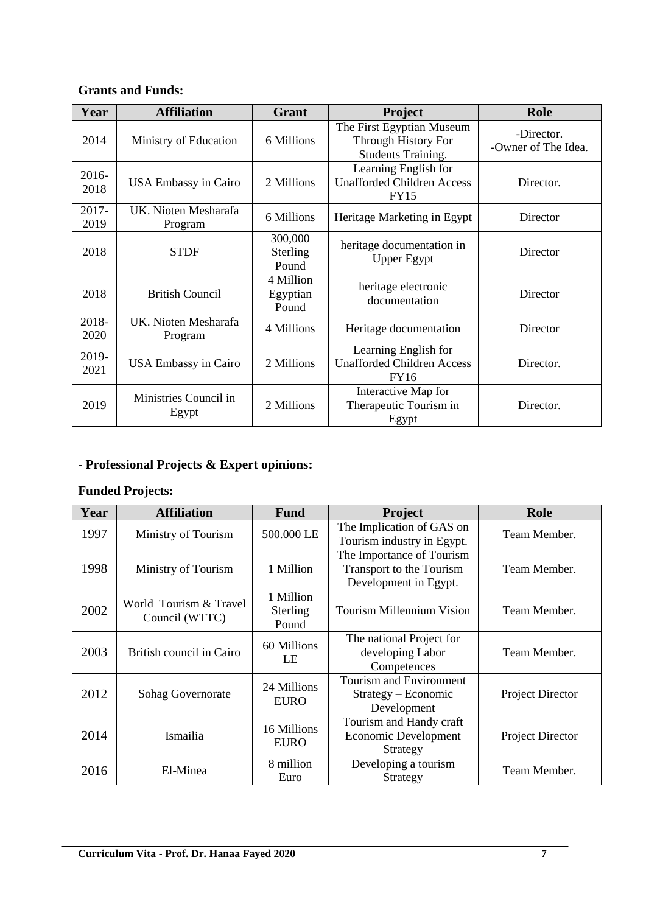#### **Grants and Funds:**

| Year          | <b>Affiliation</b>              | <b>Grant</b>                   | Project                                                                       | Role                              |
|---------------|---------------------------------|--------------------------------|-------------------------------------------------------------------------------|-----------------------------------|
| 2014          | Ministry of Education           | 6 Millions                     | The First Egyptian Museum<br>Through History For<br><b>Students Training.</b> | -Director.<br>-Owner of The Idea. |
| 2016-<br>2018 | <b>USA Embassy in Cairo</b>     | 2 Millions                     | Learning English for<br><b>Unafforded Children Access</b><br><b>FY15</b>      | Director.                         |
| 2017-<br>2019 | UK. Nioten Mesharafa<br>Program | 6 Millions                     | Heritage Marketing in Egypt                                                   | Director                          |
| 2018          | <b>STDF</b>                     | 300,000<br>Sterling<br>Pound   | heritage documentation in<br><b>Upper Egypt</b>                               | Director                          |
| 2018          | <b>British Council</b>          | 4 Million<br>Egyptian<br>Pound | heritage electronic<br>documentation                                          | Director                          |
| 2018-<br>2020 | UK. Nioten Mesharafa<br>Program | 4 Millions                     | Heritage documentation                                                        | Director                          |
| 2019-<br>2021 | <b>USA Embassy in Cairo</b>     | 2 Millions                     | Learning English for<br><b>Unafforded Children Access</b><br>FY16             | Director.                         |
| 2019          | Ministries Council in<br>Egypt  | 2 Millions                     | Interactive Map for<br>Therapeutic Tourism in<br>Egypt                        | Director.                         |

# **- Professional Projects & Expert opinions:**

## **Funded Projects:**

| Year | <b>Affiliation</b>                       | <b>Fund</b>                    | <b>Project</b>                                                                 | Role                    |
|------|------------------------------------------|--------------------------------|--------------------------------------------------------------------------------|-------------------------|
| 1997 | Ministry of Tourism                      | 500.000 LE                     | The Implication of GAS on<br>Tourism industry in Egypt.                        | Team Member.            |
| 1998 | Ministry of Tourism                      | 1 Million                      | The Importance of Tourism<br>Transport to the Tourism<br>Development in Egypt. | Team Member.            |
| 2002 | World Tourism & Travel<br>Council (WTTC) | 1 Million<br>Sterling<br>Pound | <b>Tourism Millennium Vision</b>                                               | Team Member.            |
| 2003 | British council in Cairo                 | 60 Millions<br>LE              | The national Project for<br>developing Labor<br>Competences                    | Team Member.            |
| 2012 | Sohag Governorate                        | 24 Millions<br><b>EURO</b>     | Tourism and Environment<br>Strategy – Economic<br>Development                  | Project Director        |
| 2014 | Ismailia                                 | 16 Millions<br><b>EURO</b>     | Tourism and Handy craft<br>Economic Development<br>Strategy                    | <b>Project Director</b> |
| 2016 | El-Minea                                 | 8 million<br>Euro              | Developing a tourism<br>Strategy                                               | Team Member.            |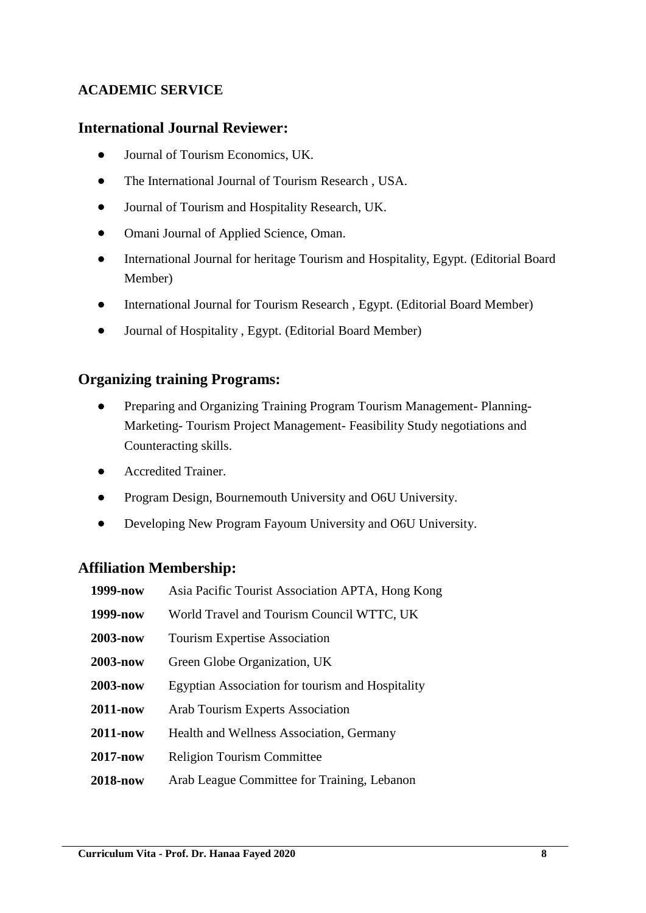## **ACADEMIC SERVICE**

#### **International Journal Reviewer:**

- Journal of Tourism Economics, UK.
- The International Journal of Tourism Research, USA.
- Journal of Tourism and Hospitality Research, UK.
- Omani Journal of Applied Science, Oman.
- International Journal for heritage Tourism and Hospitality, Egypt. (Editorial Board Member)
- International Journal for Tourism Research , Egypt. (Editorial Board Member)
- Journal of Hospitality , Egypt. (Editorial Board Member)

#### **Organizing training Programs:**

- Preparing and Organizing Training Program Tourism Management- Planning-Marketing- Tourism Project Management- Feasibility Study negotiations and Counteracting skills.
- **•** Accredited Trainer.
- Program Design, Bournemouth University and O6U University.
- Developing New Program Fayoum University and O6U University.

#### **Affiliation Membership:**

| 1999-now        | Asia Pacific Tourist Association APTA, Hong Kong |
|-----------------|--------------------------------------------------|
| 1999-now        | World Travel and Tourism Council WTTC, UK        |
| 2003-now        | <b>Tourism Expertise Association</b>             |
| 2003-now        | Green Globe Organization, UK                     |
| 2003-now        | Egyptian Association for tourism and Hospitality |
| <b>2011-now</b> | Arab Tourism Experts Association                 |
| <b>2011-now</b> | Health and Wellness Association, Germany         |
| 2017-now        | <b>Religion Tourism Committee</b>                |
| <b>2018-now</b> | Arab League Committee for Training, Lebanon      |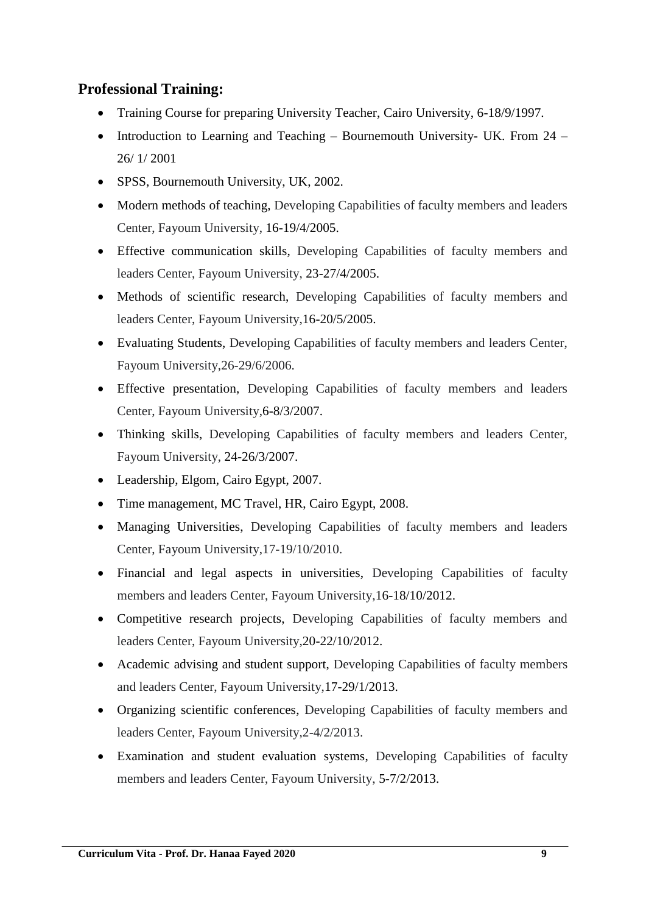# **Professional Training:**

- Training Course for preparing University Teacher, Cairo University, 6-18/9/1997.
- Introduction to Learning and Teaching Bournemouth University- UK. From  $24$  26/ 1/ 2001
- SPSS, Bournemouth University, UK, 2002.
- Modern methods of teaching, Developing Capabilities of faculty members and leaders Center, Fayoum University, 16-19/4/2005.
- Effective communication skills, Developing Capabilities of faculty members and leaders Center, Fayoum University, 23-27/4/2005.
- Methods of scientific research, Developing Capabilities of faculty members and leaders Center, Fayoum University,16-20/5/2005.
- Evaluating Students, Developing Capabilities of faculty members and leaders Center, Fayoum University,26-29/6/2006.
- Effective presentation, Developing Capabilities of faculty members and leaders Center, Fayoum University,6-8/3/2007.
- Thinking skills, Developing Capabilities of faculty members and leaders Center, Fayoum University, 24-26/3/2007.
- Leadership, Elgom, Cairo Egypt, 2007.
- Time management, MC Travel, HR, Cairo Egypt, 2008.
- Managing Universities, Developing Capabilities of faculty members and leaders Center, Fayoum University,17-19/10/2010.
- Financial and legal aspects in universities, Developing Capabilities of faculty members and leaders Center, Fayoum University,16-18/10/2012.
- Competitive research projects, Developing Capabilities of faculty members and leaders Center, Fayoum University,20-22/10/2012.
- Academic advising and student support, Developing Capabilities of faculty members and leaders Center, Fayoum University,17-29/1/2013.
- Organizing scientific conferences, Developing Capabilities of faculty members and leaders Center, Fayoum University,2-4/2/2013.
- Examination and student evaluation systems, Developing Capabilities of faculty members and leaders Center, Fayoum University, 5-7/2/2013.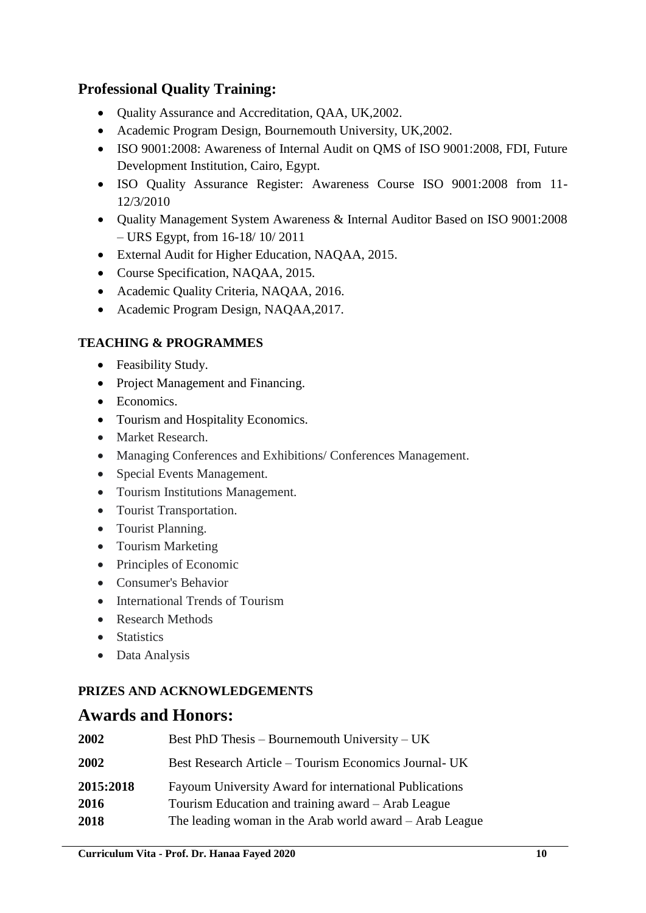# **Professional Quality Training:**

- Quality Assurance and Accreditation, QAA, UK,2002.
- Academic Program Design, Bournemouth University, UK,2002.
- ISO 9001:2008: Awareness of Internal Audit on QMS of ISO 9001:2008, FDI, Future Development Institution, Cairo, Egypt.
- ISO Quality Assurance Register: Awareness Course ISO 9001:2008 from 11- 12/3/2010
- Quality Management System Awareness & Internal Auditor Based on ISO 9001:2008 – URS Egypt, from 16-18/ 10/ 2011
- External Audit for Higher Education, NAQAA, 2015.
- Course Specification, NAQAA, 2015.
- Academic Quality Criteria, NAQAA, 2016.
- Academic Program Design, NAQAA,2017.

## **TEACHING & PROGRAMMES**

- Feasibility Study.
- Project Management and Financing.
- Economics.
- Tourism and Hospitality Economics.
- Market Research.
- Managing Conferences and Exhibitions/ Conferences Management.
- Special Events Management.
- Tourism Institutions Management.
- Tourist Transportation.
- Tourist Planning.
- Tourism Marketing
- Principles of Economic
- Consumer's Behavior
- International Trends of Tourism
- Research Methods
- Statistics
- Data Analysis

# **PRIZES AND ACKNOWLEDGEMENTS**

# **Awards and Honors:**

| 2002      | Best PhD Thesis – Bournemouth University – UK           |
|-----------|---------------------------------------------------------|
| 2002      | Best Research Article – Tourism Economics Journal- UK   |
| 2015:2018 | Fayoum University Award for international Publications  |
| 2016      | Tourism Education and training award – Arab League      |
| 2018      | The leading woman in the Arab world award – Arab League |